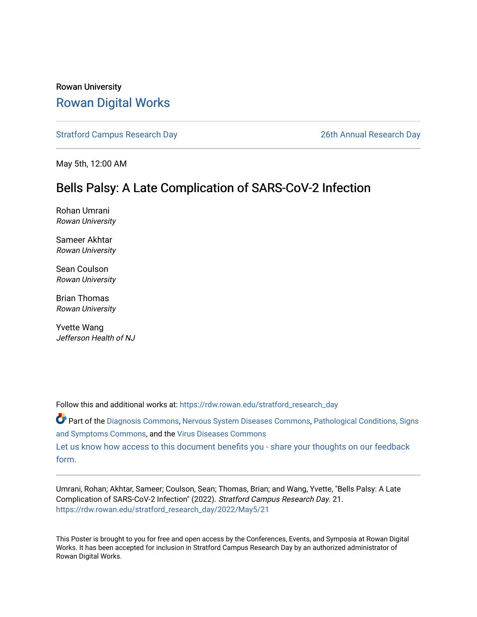### Rowan University [Rowan Digital Works](https://rdw.rowan.edu/)

[Stratford Campus Research Day](https://rdw.rowan.edu/stratford_research_day) [26th Annual Research Day](https://rdw.rowan.edu/stratford_research_day/2022) 

May 5th, 12:00 AM

### Bells Palsy: A Late Complication of SARS-CoV-2 Infection

Rohan Umrani Rowan University

Sameer Akhtar Rowan University

Sean Coulson Rowan University

Brian Thomas Rowan University

Yvette Wang Jefferson Health of NJ

Follow this and additional works at: [https://rdw.rowan.edu/stratford\\_research\\_day](https://rdw.rowan.edu/stratford_research_day?utm_source=rdw.rowan.edu%2Fstratford_research_day%2F2022%2FMay5%2F21&utm_medium=PDF&utm_campaign=PDFCoverPages)

Part of the [Diagnosis Commons,](https://network.bepress.com/hgg/discipline/945?utm_source=rdw.rowan.edu%2Fstratford_research_day%2F2022%2FMay5%2F21&utm_medium=PDF&utm_campaign=PDFCoverPages) [Nervous System Diseases Commons](https://network.bepress.com/hgg/discipline/928?utm_source=rdw.rowan.edu%2Fstratford_research_day%2F2022%2FMay5%2F21&utm_medium=PDF&utm_campaign=PDFCoverPages), Pathological Conditions, Signs [and Symptoms Commons](https://network.bepress.com/hgg/discipline/1004?utm_source=rdw.rowan.edu%2Fstratford_research_day%2F2022%2FMay5%2F21&utm_medium=PDF&utm_campaign=PDFCoverPages), and the [Virus Diseases Commons](https://network.bepress.com/hgg/discipline/998?utm_source=rdw.rowan.edu%2Fstratford_research_day%2F2022%2FMay5%2F21&utm_medium=PDF&utm_campaign=PDFCoverPages) 

[Let us know how access to this document benefits you - share your thoughts on our feedback](https://www.lib.rowan.edu/rdw-feedback?ref=https://rdw.rowan.edu/stratford_research_day/2022/May5/21) [form.](https://www.lib.rowan.edu/rdw-feedback?ref=https://rdw.rowan.edu/stratford_research_day/2022/May5/21)

Umrani, Rohan; Akhtar, Sameer; Coulson, Sean; Thomas, Brian; and Wang, Yvette, "Bells Palsy: A Late Complication of SARS-CoV-2 Infection" (2022). Stratford Campus Research Day. 21. [https://rdw.rowan.edu/stratford\\_research\\_day/2022/May5/21](https://rdw.rowan.edu/stratford_research_day/2022/May5/21?utm_source=rdw.rowan.edu%2Fstratford_research_day%2F2022%2FMay5%2F21&utm_medium=PDF&utm_campaign=PDFCoverPages) 

This Poster is brought to you for free and open access by the Conferences, Events, and Symposia at Rowan Digital Works. It has been accepted for inclusion in Stratford Campus Research Day by an authorized administrator of Rowan Digital Works.